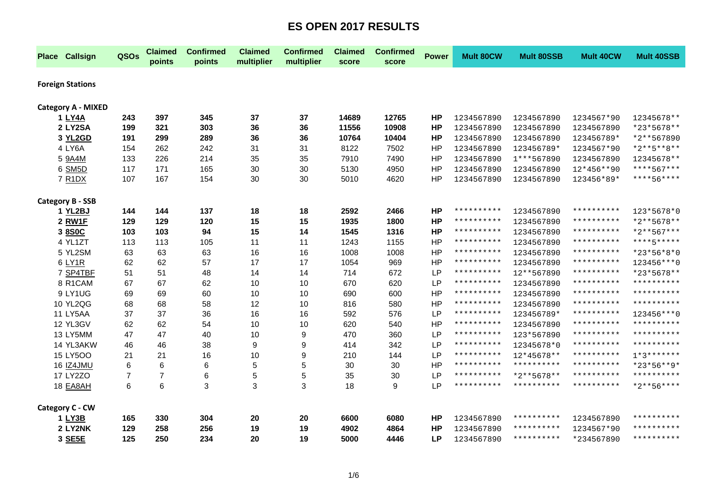| <b>Place Callsign</b>           | QSOs           | <b>Claimed</b><br>points | <b>Confirmed</b><br>points | <b>Claimed</b><br>multiplier | <b>Confirmed</b><br>multiplier | <b>Claimed</b><br>score | <b>Confirmed</b><br>score | <b>Power</b> | <b>Mult 80CW</b> | <b>Mult 80SSB</b> | <b>Mult 40CW</b> | <b>Mult 40SSB</b>   |
|---------------------------------|----------------|--------------------------|----------------------------|------------------------------|--------------------------------|-------------------------|---------------------------|--------------|------------------|-------------------|------------------|---------------------|
| <b>Foreign Stations</b>         |                |                          |                            |                              |                                |                         |                           |              |                  |                   |                  |                     |
|                                 |                |                          |                            |                              |                                |                         |                           |              |                  |                   |                  |                     |
| <b>Category A - MIXED</b>       |                |                          |                            |                              |                                |                         |                           |              |                  |                   |                  |                     |
| 1 LY4A                          | 243            | 397                      | 345                        | 37                           | 37                             | 14689                   | 12765                     | <b>HP</b>    | 1234567890       | 1234567890        | 1234567*90       | 12345678**          |
| 2 LY2SA                         | 199            | 321                      | 303                        | 36                           | 36                             | 11556                   | 10908                     | <b>HP</b>    | 1234567890       | 1234567890        | 1234567890       | *23*5678**          |
| 3 YL2GD                         | 191            | 299                      | 289                        | 36                           | 36                             | 10764                   | 10404                     | <b>HP</b>    | 1234567890       | 1234567890        | 123456789*       | *2**567890          |
| 4 LY6A                          | 154            | 262                      | 242                        | 31                           | 31                             | 8122                    | 7502                      | <b>HP</b>    | 1234567890       | 123456789*        | 1234567*90       | $*2**5**8**$        |
| 5 9A4M                          | 133            | 226                      | 214                        | 35                           | 35                             | 7910                    | 7490                      | HP           | 1234567890       | 1***567890        | 1234567890       | 12345678**          |
| 6 SM5D                          | 117            | 171                      | 165                        | 30                           | 30                             | 5130                    | 4950                      | <b>HP</b>    | 1234567890       | 1234567890        | 12*456**90       | ****567***          |
| 7 R <sub>1</sub> D <sub>X</sub> | 107            | 167                      | 154                        | 30                           | 30                             | 5010                    | 4620                      | HP           | 1234567890       | 1234567890        | 123456*89*       | ****56****          |
| <b>Category B - SSB</b>         |                |                          |                            |                              |                                |                         |                           |              |                  |                   |                  |                     |
| 1 YL2BJ                         | 144            | 144                      | 137                        | 18                           | 18                             | 2592                    | 2466                      | <b>HP</b>    | **********       | 1234567890        | **********       | 123*5678*0          |
| 2 RW1F                          | 129            | 129                      | 120                        | 15                           | 15                             | 1935                    | 1800                      | <b>HP</b>    | **********       | 1234567890        | **********       | *2**5678**          |
| 3 8SOC                          | 103            | 103                      | 94                         | 15                           | 14                             | 1545                    | 1316                      | <b>HP</b>    | **********       | 1234567890        | **********       | *2**567***          |
| 4 YL1ZT                         | 113            | 113                      | 105                        | 11                           | 11                             | 1243                    | 1155                      | HP           | **********       | 1234567890        | **********       | ****5*****          |
| 5 YL2SM                         | 63             | 63                       | 63                         | 16                           | 16                             | 1008                    | 1008                      | HP           | **********       | 1234567890        | **********       | *23*56*8*0          |
| 6 LY1R                          | 62             | 62                       | 57                         | 17                           | 17                             | 1054                    | 969                       | HP           | **********       | 1234567890        | **********       | 123456 *** 0        |
| 7 SP4TBF                        | 51             | 51                       | 48                         | 14                           | 14                             | 714                     | 672                       | <b>LP</b>    | **********       | 12**567890        | **********       | *23*5678**          |
| 8 R1CAM                         | 67             | 67                       | 62                         | 10                           | 10                             | 670                     | 620                       | LP           | **********       | 1234567890        | **********       | * * * * * * * * * * |
| 9 LY1UG                         | 69             | 69                       | 60                         | 10                           | 10                             | 690                     | 600                       | HP           | **********       | 1234567890        | **********       | * * * * * * * * * * |
| <b>10 YL2QG</b>                 | 68             | 68                       | 58                         | 12                           | 10                             | 816                     | 580                       | <b>HP</b>    | **********       | 1234567890        | **********       | **********          |
| 11 LY5AA                        | 37             | 37                       | 36                         | 16                           | 16                             | 592                     | 576                       | <b>LP</b>    | **********       | 123456789*        | **********       | 123456 *** 0        |
| 12 YL3GV                        | 62             | 62                       | 54                         | 10                           | 10                             | 620                     | 540                       | HP           | **********       | 1234567890        | **********       | **********          |
| 13 LY5MM                        | 47             | 47                       | 40                         | 10                           | 9                              | 470                     | 360                       | LP           | **********       | 123*567890        | **********       | * * * * * * * * * * |
| 14 YL3AKW                       | 46             | 46                       | 38                         | 9                            | 9                              | 414                     | 342                       | LP           | **********       | 12345678*0        | **********       | * * * * * * * * * * |
| 15 LY5OO                        | 21             | 21                       | 16                         | 10                           | 9                              | 210                     | 144                       | LP           | **********       | 12*45678**        | **********       | $1*3******$         |
| 16 IZ4JMU                       | 6              | 6                        | 6                          | 5                            | 5                              | 30                      | 30                        | HP           | **********       | **********        | **********       | *23*56**9*          |
| 17 LY2ZO                        | $\overline{7}$ | 7                        | 6                          | 5                            | 5                              | 35                      | 30                        | <b>LP</b>    | **********       | *2**5678**        | **********       | * * * * * * * * * * |
| 18 <b>EA8AH</b>                 | 6              | 6                        | 3                          | 3                            | 3                              | 18                      | 9                         | LP           | **********       | **********        | **********       | $*2***56***$        |
| Category C - CW                 |                |                          |                            |                              |                                |                         |                           |              |                  |                   |                  |                     |
| 1 LY3B                          | 165            | 330                      | 304                        | 20                           | 20                             | 6600                    | 6080                      | <b>HP</b>    | 1234567890       | **********        | 1234567890       | **********          |
| 2 LY2NK                         | 129            | 258                      | 256                        | 19                           | 19                             | 4902                    | 4864                      | <b>HP</b>    | 1234567890       | **********        | 1234567*90       | * * * * * * * * * * |
| 3 SE5E                          | 125            | 250                      | 234                        | 20                           | 19                             | 5000                    | 4446                      | <b>LP</b>    | 1234567890       | **********        | *234567890       | * * * * * * * * * * |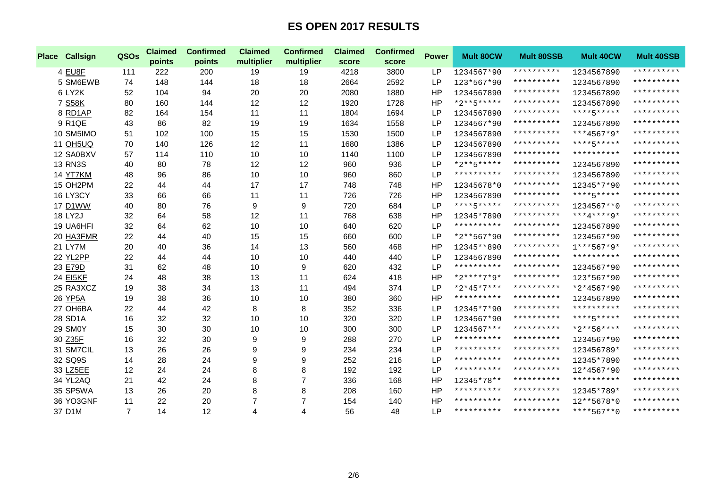| <b>Place</b> | <b>Callsign</b> | QSOs           | <b>Claimed</b><br>points | <b>Confirmed</b><br>points | <b>Claimed</b><br>multiplier | <b>Confirmed</b><br>multiplier | <b>Claimed</b><br>score | <b>Confirmed</b><br>score | <b>Power</b> | <b>Mult 80CW</b> | <b>Mult 80SSB</b>   | Mult 40CW       | <b>Mult 40SSB</b>   |
|--------------|-----------------|----------------|--------------------------|----------------------------|------------------------------|--------------------------------|-------------------------|---------------------------|--------------|------------------|---------------------|-----------------|---------------------|
|              | 4 EU8F          | 111            | 222                      | 200                        | 19                           | 19                             | 4218                    | 3800                      | <b>LP</b>    | 1234567*90       | **********          | 1234567890      | **********          |
|              | 5 SM6EWB        | 74             | 148                      | 144                        | 18                           | 18                             | 2664                    | 2592                      | <b>LP</b>    | 123*567*90       | **********          | 1234567890      | **********          |
|              | 6 LY2K          | 52             | 104                      | 94                         | 20                           | 20                             | 2080                    | 1880                      | <b>HP</b>    | 1234567890       | * * * * * * * * * * | 1234567890      | * * * * * * * * * * |
|              | 7 S58K          | 80             | 160                      | 144                        | 12                           | 12                             | 1920                    | 1728                      | <b>HP</b>    | $*2***5****$     | * * * * * * * * * * | 1234567890      | * * * * * * * * * * |
|              | 8 RD1AP         | 82             | 164                      | 154                        | 11                           | 11                             | 1804                    | 1694                      | <b>LP</b>    | 1234567890       | * * * * * * * * * * | ****5*****      | * * * * * * * * * * |
|              | 9 R1QE          | 43             | 86                       | 82                         | 19                           | 19                             | 1634                    | 1558                      | <b>LP</b>    | 1234567*90       | * * * * * * * * * * | 1234567890      | **********          |
|              | 10 SM5IMO       | 51             | 102                      | 100                        | 15                           | 15                             | 1530                    | 1500                      | <b>LP</b>    | 1234567890       | * * * * * * * * * * | $***4567*9*$    | * * * * * * * * * * |
|              | <b>11 OH5UQ</b> | 70             | 140                      | 126                        | 12                           | 11                             | 1680                    | 1386                      | <b>LP</b>    | 1234567890       | **********          | ****5*****      | * * * * * * * * * * |
|              | 12 SA0BXV       | 57             | 114                      | 110                        | 10                           | 10                             | 1140                    | 1100                      | <b>LP</b>    | 1234567890       | **********          | **********      | **********          |
|              | <b>13 RN3S</b>  | 40             | 80                       | 78                         | 12                           | 12                             | 960                     | 936                       | <b>LP</b>    | $*2***5****$     | **********          | 1234567890      | * * * * * * * * * * |
|              | 14 YT7KM        | 48             | 96                       | 86                         | 10                           | 10                             | 960                     | 860                       | <b>LP</b>    | **********       | **********          | 1234567890      | * * * * * * * * * * |
|              | 15 OH2PM        | 22             | 44                       | 44                         | 17                           | 17                             | 748                     | 748                       | HP           | 12345678*0       | **********          | 12345*7*90      | **********          |
|              | <b>16 LY3CY</b> | 33             | 66                       | 66                         | 11                           | 11                             | 726                     | 726                       | HP           | 1234567890       | **********          | ****5*****      | **********          |
|              | 17 D1WW         | 40             | 80                       | 76                         | $\boldsymbol{9}$             | 9                              | 720                     | 684                       | <b>LP</b>    | ****5*****       | **********          | 1234567**0      | **********          |
|              | 18 LY2J         | 32             | 64                       | 58                         | 12                           | 11                             | 768                     | 638                       | HP           | 12345*7890       | **********          | $***4***4***9*$ | * * * * * * * * * * |
|              | 19 UA6HFI       | 32             | 64                       | 62                         | 10                           | 10                             | 640                     | 620                       | <b>LP</b>    | **********       | * * * * * * * * * * | 1234567890      | * * * * * * * * * * |
|              | 20 HA3FMR       | 22             | 44                       | 40                         | 15                           | 15                             | 660                     | 600                       | <b>LP</b>    | $*2**567*90$     | * * * * * * * * * * | 1234567*90      | **********          |
|              | 21 LY7M         | 20             | 40                       | 36                         | 14                           | 13                             | 560                     | 468                       | HP           | 12345**890       | **********          | $1***567*9*$    | * * * * * * * * * * |
|              | 22 YL2PP        | 22             | 44                       | 44                         | 10                           | 10                             | 440                     | 440                       | <b>LP</b>    | 1234567890       | **********          | **********      | **********          |
|              | 23 E79D         | 31             | 62                       | 48                         | 10                           | 9                              | 620                     | 432                       | <b>LP</b>    | **********       | * * * * * * * * * * | 1234567*90      | * * * * * * * * * * |
|              | <b>24 EI5KF</b> | 24             | 48                       | 38                         | 13                           | 11                             | 624                     | 418                       | <b>HP</b>    | $*2***7*9*$      | * * * * * * * * * * | 123*567*90      | * * * * * * * * * * |
|              | 25 RA3XCZ       | 19             | 38                       | 34                         | 13                           | 11                             | 494                     | 374                       | <b>LP</b>    | $*2*45*7***$     | **********          | $*2*4567*90$    | **********          |
|              | 26 YP5A         | 19             | 38                       | 36                         | 10                           | 10                             | 380                     | 360                       | <b>HP</b>    | **********       | * * * * * * * * * * | 1234567890      | * * * * * * * * * * |
|              | 27 OH6BA        | 22             | 44                       | 42                         | 8                            | 8                              | 352                     | 336                       | <b>LP</b>    | 12345*7*90       | * * * * * * * * * * | **********      | * * * * * * * * * * |
|              | 28 SD1A         | 16             | 32                       | 32                         | 10                           | 10                             | 320                     | 320                       | <b>LP</b>    | 1234567*90       | **********          | ****5*****      | * * * * * * * * * * |
|              | 29 SM0Y         | 15             | 30                       | 30                         | 10                           | 10                             | 300                     | 300                       | <b>LP</b>    | 1234567***       | **********          | $*2***56****$   | **********          |
|              | 30 Z35F         | 16             | 32                       | 30                         | 9                            | 9                              | 288                     | 270                       | <b>LP</b>    | **********       | **********          | 1234567*90      | * * * * * * * * * * |
|              | 31 SM7CIL       | 13             | 26                       | 26                         | 9                            | 9                              | 234                     | 234                       | <b>LP</b>    | **********       | **********          | 123456789*      | **********          |
|              | 32 SQ9S         | 14             | 28                       | 24                         | 9                            | 9                              | 252                     | 216                       | LP           | **********       | **********          | 12345*7890      | **********          |
|              | 33 LZ5EE        | 12             | 24                       | 24                         | 8                            | 8                              | 192                     | 192                       | <b>LP</b>    | **********       | **********          | 12*4567*90      | * * * * * * * * * * |
|              | 34 YL2AQ        | 21             | 42                       | 24                         | 8                            | $\overline{7}$                 | 336                     | 168                       | HP           | 12345*78**       | **********          | **********      | * * * * * * * * * * |
|              | 35 SP5WA        | 13             | 26                       | 20                         | 8                            | 8                              | 208                     | 160                       | <b>HP</b>    | **********       | **********          | 12345*789*      | **********          |
|              | 36 YO3GNF       | 11             | 22                       | 20                         | 7                            | 7                              | 154                     | 140                       | HP           | **********       | * * * * * * * * * * | 12**5678*0      | * * * * * * * * * * |
|              | 37 D1M          | $\overline{7}$ | 14                       | 12                         | 4                            | 4                              | 56                      | 48                        | LP           | **********       | **********          | ****567**0      | * * * * * * * * * * |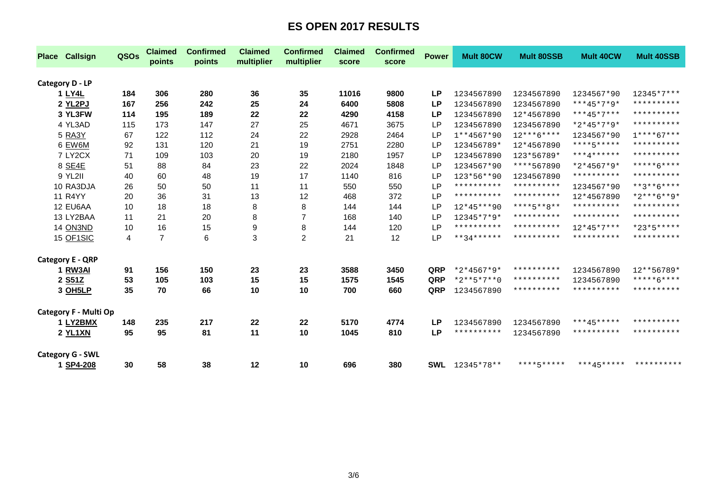| <b>Place Callsign</b>   | QSOs | <b>Claimed</b><br>points | <b>Confirmed</b><br>points | <b>Claimed</b><br>multiplier | <b>Confirmed</b><br>multiplier | <b>Claimed</b><br>score | <b>Confirmed</b><br>score | <b>Power</b> | <b>Mult 80CW</b> | <b>Mult 80SSB</b>       | <b>Mult 40CW</b> | <b>Mult 40SSB</b>   |
|-------------------------|------|--------------------------|----------------------------|------------------------------|--------------------------------|-------------------------|---------------------------|--------------|------------------|-------------------------|------------------|---------------------|
| Category D - LP         |      |                          |                            |                              |                                |                         |                           |              |                  |                         |                  |                     |
| 1 LY4L                  | 184  | 306                      | 280                        | 36                           | 35                             | 11016                   | 9800                      | <b>LP</b>    | 1234567890       | 1234567890              | 1234567*90       | $12345*7***$        |
| 2 YL2PJ                 | 167  | 256                      | 242                        | 25                           | 24                             | 6400                    | 5808                      | <b>LP</b>    | 1234567890       | 1234567890              | $***45*7*9*$     | * * * * * * * * * * |
| 3 YL3FW                 | 114  | 195                      | 189                        | 22                           | 22                             | 4290                    | 4158                      | LР           | 1234567890       | 12*4567890              | ***45*7***       | * * * * * * * * * * |
| 4 YL3AD                 | 115  | 173                      | 147                        | 27                           | 25                             | 4671                    | 3675                      | LP           | 1234567890       | 1234567890              | *2*45*7*9*       | * * * * * * * * * * |
| 5 RA3Y                  | 67   | 122                      | 112                        | 24                           | 22                             | 2928                    | 2464                      | <b>LP</b>    | $1**4567*90$     | $12***6****$            | 1234567*90       | $1***67***$         |
| 6 EW6M                  | 92   | 131                      | 120                        | 21                           | 19                             | 2751                    | 2280                      | <b>LP</b>    | 123456789*       | 12*4567890              | ****5*****       | * * * * * * * * * * |
| 7 LY2CX                 | 71   | 109                      | 103                        | 20                           | 19                             | 2180                    | 1957                      | <b>LP</b>    | 1234567890       | 123*56789*              | ***4******       | **********          |
| 8 SE4E                  | 51   | 88                       | 84                         | 23                           | 22                             | 2024                    | 1848                      | <b>LP</b>    | 1234567*90       | ****567890              | *2*4567*9*       | $****6***$          |
| 9 YL2II                 | 40   | 60                       | 48                         | 19                           | 17                             | 1140                    | 816                       | <b>LP</b>    | 123*56**90       | 1234567890              | **********       | * * * * * * * * * * |
| 10 RA3DJA               | 26   | 50                       | 50                         | 11                           | 11                             | 550                     | 550                       | LP           | **********       | **********              | 1234567*90       | $***3***6****$      |
| <b>11 R4YY</b>          | 20   | 36                       | 31                         | 13                           | 12                             | 468                     | 372                       | LP           | **********       | **********              | 12*4567890       | $*2***6***9*$       |
| 12 EU6AA                | 10   | 18                       | 18                         | 8                            | 8                              | 144                     | 144                       | <b>LP</b>    | $12*45***90$     | $***$ * * * 5 * * 8 * * | **********       | **********          |
| 13 LY2BAA               | 11   | 21                       | 20                         | 8                            | $\overline{7}$                 | 168                     | 140                       | <b>LP</b>    | 12345*7*9*       | **********              | **********       | * * * * * * * * * * |
| 14 ON3ND                | 10   | 16                       | 15                         | 9                            | 8                              | 144                     | 120                       | <b>LP</b>    | **********       | **********              | $12*45*7***$     | $*23*5***$          |
| 15 OF1SIC               | 4    | $\overline{7}$           | 6                          | 3                            | $\overline{c}$                 | 21                      | 12                        | LP           | $**34******$     | **********              | **********       | **********          |
| <b>Category E - QRP</b> |      |                          |                            |                              |                                |                         |                           |              |                  |                         |                  |                     |
| 1 RW3AI                 | 91   | 156                      | 150                        | 23                           | 23                             | 3588                    | 3450                      | QRP          | $*2*4567*9*$     | **********              | 1234567890       | 12**56789*          |
| 2 S51Z                  | 53   | 105                      | 103                        | 15                           | 15                             | 1575                    | 1545                      | QRP          | $*2**5*7**0$     | **********              | 1234567890       | *****6****          |
| 3 OH5LP                 | 35   | 70                       | 66                         | 10                           | 10                             | 700                     | 660                       | QRP          | 1234567890       | **********              | **********       | * * * * * * * * * * |
| Category F - Multi Op   |      |                          |                            |                              |                                |                         |                           |              |                  |                         |                  |                     |
| 1 LY2BMX                | 148  | 235                      | 217                        | 22                           | 22                             | 5170                    | 4774                      | <b>LP</b>    | 1234567890       | 1234567890              | ***45*****       | * * * * * * * * * * |
| 2 YL1XN                 | 95   | 95                       | 81                         | 11                           | 10                             | 1045                    | 810                       | <b>LP</b>    | **********       | 1234567890              | **********       | * * * * * * * * * * |
| <b>Category G - SWL</b> |      |                          |                            |                              |                                |                         |                           |              |                  |                         |                  |                     |
| 1 SP4-208               | 30   | 58                       | 38                         | 12                           | 10                             | 696                     | 380                       | <b>SWL</b>   | 12345*78**       | ****5*****              | ***45*****       | **********          |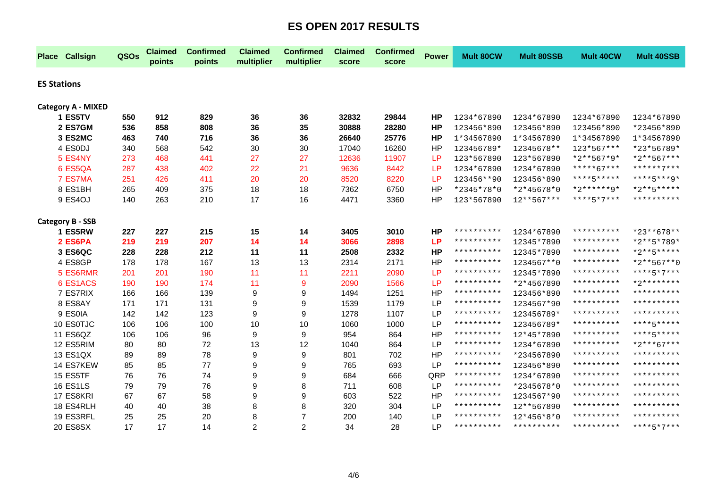|                    | <b>Place Callsign</b>     | QSOs | <b>Claimed</b><br>points | <b>Confirmed</b><br>points | <b>Claimed</b><br>multiplier | <b>Confirmed</b><br>multiplier | <b>Claimed</b><br>score | <b>Confirmed</b><br>score | <b>Power</b> | <b>Mult 80CW</b> | <b>Mult 80SSB</b> | <b>Mult 40CW</b> | <b>Mult 40SSB</b>   |
|--------------------|---------------------------|------|--------------------------|----------------------------|------------------------------|--------------------------------|-------------------------|---------------------------|--------------|------------------|-------------------|------------------|---------------------|
| <b>ES Stations</b> |                           |      |                          |                            |                              |                                |                         |                           |              |                  |                   |                  |                     |
|                    | <b>Category A - MIXED</b> |      |                          |                            |                              |                                |                         |                           |              |                  |                   |                  |                     |
|                    | 1 ES5TV                   | 550  | 912                      | 829                        | 36                           | 36                             | 32832                   | 29844                     | <b>HP</b>    | 1234*67890       | 1234*67890        | 1234*67890       | 1234*67890          |
|                    | 2 ES7GM                   | 536  | 858                      | 808                        | 36                           | 35                             | 30888                   | 28280                     | <b>HP</b>    | 123456*890       | 123456*890        | 123456*890       | *23456*890          |
|                    | 3 ES2MC                   | 463  | 740                      | 716                        | 36                           | 36                             | 26640                   | 25776                     | <b>HP</b>    | 1*34567890       | 1*34567890        | 1*34567890       | 1*34567890          |
|                    | 4 ES0DJ                   | 340  | 568                      | 542                        | 30                           | 30                             | 17040                   | 16260                     | HP           | 123456789*       | 12345678**        | 123*567***       | *23*56789*          |
|                    | 5 ES4NY                   | 273  | 468                      | 441                        | 27                           | 27                             | 12636                   | 11907                     | LP           | 123*567890       | 123*567890        | $*2**567*9*$     | *2**567***          |
|                    | 6 ES5QA                   | 287  | 438                      | 402                        | 22                           | 21                             | 9636                    | 8442                      | LP           | 1234*67890       | 1234*67890        | *****67***       | ******7***          |
|                    | 7 ES7MA                   | 251  | 426                      | 411                        | 20                           | 20                             | 8520                    | 8220                      | LP           | 123456**90       | 123456*890        | ****5*****       | ****5***9*          |
|                    | 8 ES1BH                   | 265  | 409                      | 375                        | 18                           | 18                             | 7362                    | 6750                      | HP           | *2345*78*0       | *2*45678*0        | *2******9*       | *2**5*****          |
|                    | 9 ES4OJ                   | 140  | 263                      | 210                        | 17                           | 16                             | 4471                    | 3360                      | HP           | 123*567890       | $12***567***$     | ****5*7***       | * * * * * * * * * * |
|                    | <b>Category B - SSB</b>   |      |                          |                            |                              |                                |                         |                           |              |                  |                   |                  |                     |
|                    | 1 ES5RW                   | 227  | 227                      | 215                        | 15                           | 14                             | 3405                    | 3010                      | HP           | **********       | 1234*67890        | **********       | *23**678**          |
|                    | 2 ES6PA                   | 219  | 219                      | 207                        | 14                           | 14                             | 3066                    | 2898                      | <b>LP</b>    | **********       | 12345*7890        | **********       | *2**5*789*          |
|                    | 3 ES6QC                   | 228  | 228                      | 212                        | 11                           | 11                             | 2508                    | 2332                      | <b>HP</b>    | **********       | 12345*7890        | **********       | *2**5*****          |
|                    | 4 ES8GP                   | 178  | 178                      | 167                        | 13                           | 13                             | 2314                    | 2171                      | HP           | **********       | 1234567**0        | **********       | $*2**567**0$        |
|                    | 5 ES6RMR                  | 201  | 201                      | 190                        | 11                           | 11                             | 2211                    | 2090                      | LP           | **********       | 12345*7890        | **********       | ****5*7***          |
|                    | 6 ES1ACS                  | 190  | 190                      | 174                        | 11                           | 9                              | 2090                    | 1566                      | LP           | **********       | *2*4567890        | **********       | *2********          |
|                    | 7 ES7RIX                  | 166  | 166                      | 139                        | 9                            | 9                              | 1494                    | 1251                      | HP           | **********       | 123456*890        | **********       | * * * * * * * * * * |
|                    | 8 ES8AY                   | 171  | 171                      | 131                        | 9                            | 9                              | 1539                    | 1179                      | <b>LP</b>    | **********       | 1234567*90        | **********       | * * * * * * * * * * |
|                    | 9 ES0IA                   | 142  | 142                      | 123                        | 9                            | 9                              | 1278                    | 1107                      | LP           | **********       | 123456789*        | **********       | * * * * * * * * * * |
|                    | 10 ES0TJC                 | 106  | 106                      | 100                        | 10                           | 10                             | 1060                    | 1000                      | LP           | **********       | 123456789*        | **********       | ****5*****          |
|                    | 11 ES6QZ                  | 106  | 106                      | 96                         | 9                            | 9                              | 954                     | 864                       | <b>HP</b>    | **********       | 12*45*7890        | **********       | ****5*****          |
|                    | 12 ES5RIM                 | 80   | 80                       | 72                         | 13                           | 12                             | 1040                    | 864                       | <b>LP</b>    | **********       | 1234*67890        | **********       | $*2***67***$        |
|                    | 13 ES1QX                  | 89   | 89                       | 78                         | 9                            | 9                              | 801                     | 702                       | HP           | **********       | *234567890        | **********       | **********          |
|                    | 14 ES7KEW                 | 85   | 85                       | 77                         | 9                            | 9                              | 765                     | 693                       | <b>LP</b>    | **********       | 123456*890        | **********       | **********          |
|                    | 15 ES5TF                  | 76   | 76                       | 74                         | 9                            | 9                              | 684                     | 666                       | QRP          | **********       | 1234*67890        | **********       | **********          |
|                    | <b>16 ES1LS</b>           | 79   | 79                       | 76                         | 9                            | 8                              | 711                     | 608                       | <b>LP</b>    | **********       | *2345678*0        | **********       | **********          |
|                    | 17 ES8KRI                 | 67   | 67                       | 58                         | 9                            | 9                              | 603                     | 522                       | HP           | **********       | 1234567*90        | **********       | **********          |
|                    | 18 ES4RLH                 | 40   | 40                       | 38                         | 8                            | 8                              | 320                     | 304                       | <b>LP</b>    | **********       | 12**567890        | **********       | * * * * * * * * * * |
|                    | 19 ES3RFL                 | 25   | 25                       | 20                         | 8                            | 7                              | 200                     | 140                       | <b>LP</b>    | **********       | 12*456*8*0        | **********       | * * * * * * * * * * |
|                    | <b>20 ES8SX</b>           | 17   | 17                       | 14                         | $\overline{c}$               | $\overline{2}$                 | 34                      | 28                        | LP           | **********       | **********        | **********       | ****5*7***          |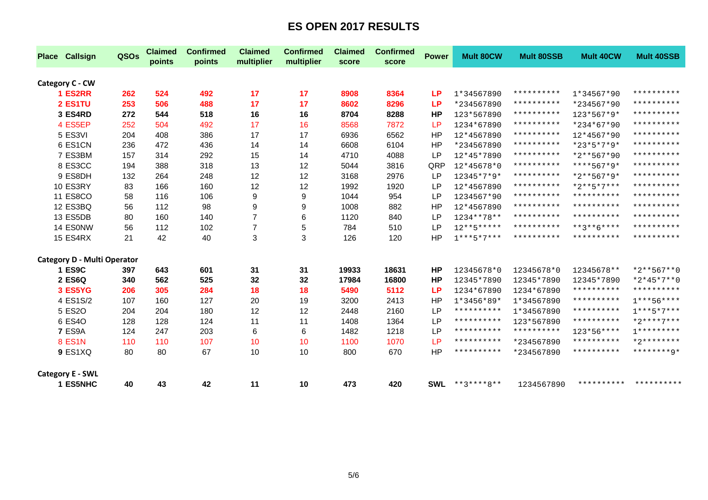| <b>Place Callsign</b>       | QSOs | <b>Claimed</b><br>points | <b>Confirmed</b><br>points | <b>Claimed</b><br>multiplier | <b>Confirmed</b><br>multiplier | <b>Claimed</b><br>score | <b>Confirmed</b><br>score | <b>Power</b> | <b>Mult 80CW</b>    | <b>Mult 80SSB</b>   | <b>Mult 40CW</b> | <b>Mult 40SSB</b>   |
|-----------------------------|------|--------------------------|----------------------------|------------------------------|--------------------------------|-------------------------|---------------------------|--------------|---------------------|---------------------|------------------|---------------------|
| Category C - CW             |      |                          |                            |                              |                                |                         |                           |              |                     |                     |                  |                     |
| 1 ES2RR                     | 262  | 524                      | 492                        | 17                           | 17                             | 8908                    | 8364                      | LP           | 1*34567890          | **********          | 1*34567*90       | **********          |
| 2 ES1TU                     | 253  | 506                      | 488                        | 17                           | 17                             | 8602                    | 8296                      | LP           | *234567890          | **********          | *234567*90       | **********          |
| 3 ES4RD                     | 272  | 544                      | 518                        | 16                           | 16                             | 8704                    | 8288                      | HP           | 123*567890          | **********          | $123*567*9*$     | **********          |
| 4 ES5EP                     | 252  | 504                      | 492                        | 17                           | 16                             | 8568                    | 7872                      | LP           | 1234*67890          | **********          | *234*67*90       | **********          |
| 5 ES3VI                     | 204  | 408                      | 386                        | 17                           | 17                             | 6936                    | 6562                      | HP           | 12*4567890          | **********          | 12*4567*90       | **********          |
| 6 ES1CN                     | 236  | 472                      | 436                        | 14                           | 14                             | 6608                    | 6104                      | HP           | *234567890          | **********          | $*23*5*7*9*$     | **********          |
| 7 ES3BM                     | 157  | 314                      | 292                        | 15                           | 14                             | 4710                    | 4088                      | <b>LP</b>    | 12*45*7890          | **********          | $*2**567*90$     | **********          |
| 8 ES3CC                     | 194  | 388                      | 318                        | 13                           | 12                             | 5044                    | 3816                      | QRP          | 12*45678*0          | **********          | $***567*9*$      | * * * * * * * * * * |
| 9 ES8DH                     | 132  | 264                      | 248                        | 12                           | 12                             | 3168                    | 2976                      | LP           | 12345*7*9*          | **********          | $*2**567*9*$     | **********          |
| 10 ES3RY                    | 83   | 166                      | 160                        | 12                           | 12                             | 1992                    | 1920                      | <b>LP</b>    | 12*4567890          | **********          | $*2***5*7***$    | * * * * * * * * * * |
| <b>11 ES8CO</b>             | 58   | 116                      | 106                        | 9                            | 9                              | 1044                    | 954                       | <b>LP</b>    | 1234567*90          | **********          | **********       | **********          |
| 12 ES3BQ                    | 56   | 112                      | 98                         | 9                            | 9                              | 1008                    | 882                       | HP           | 12*4567890          | **********          | **********       | **********          |
| 13 ES5DB                    | 80   | 160                      | 140                        | $\overline{7}$               | 6                              | 1120                    | 840                       | LP           | $1234***78**$       | **********          | **********       | **********          |
| 14 ES0NW                    | 56   | 112                      | 102                        | $\overline{7}$               | 5                              | 784                     | 510                       | LP           | $12***5****$        | **********          | $***3***6****$   | **********          |
| <b>15 ES4RX</b>             | 21   | 42                       | 40                         | 3                            | 3                              | 126                     | 120                       | HP           | $1***5*7***$        | **********          | **********       | **********          |
| Category D - Multi Operator |      |                          |                            |                              |                                |                         |                           |              |                     |                     |                  |                     |
| 1 ES9C                      | 397  | 643                      | 601                        | 31                           | 31                             | 19933                   | 18631                     | <b>HP</b>    | 12345678*0          | 12345678*0          | 12345678**       | $*2**567**0$        |
| 2 ES6Q                      | 340  | 562                      | 525                        | 32                           | 32                             | 17984                   | 16800                     | HP           | 12345*7890          | 12345*7890          | 12345*7890       | $*2*45*7**0$        |
| 3 ES5YG                     | 206  | 305                      | 284                        | 18                           | 18                             | 5490                    | 5112                      | <b>LP</b>    | 1234*67890          | 1234*67890          | **********       | * * * * * * * * * * |
| 4 ES1S/2                    | 107  | 160                      | 127                        | 20                           | 19                             | 3200                    | 2413                      | HP           | $1*3456*89*$        | 1*34567890          | **********       | $1***56***$         |
| 5 ES20                      | 204  | 204                      | 180                        | 12                           | 12                             | 2448                    | 2160                      | LP           | **********          | 1*34567890          | **********       | $1***5*7***$        |
| 6 ES40                      | 128  | 128                      | 124                        | 11                           | 11                             | 1408                    | 1364                      | <b>LP</b>    | * * * * * * * * * * | 123*567890          | **********       | $*2***7***$         |
| 7 ES9A                      | 124  | 247                      | 203                        | 6                            | 6                              | 1482                    | 1218                      | LP           | **********          | * * * * * * * * * * | 123*56****       | $1**********$       |
| <b>8 ES1N</b>               | 110  | 110                      | 107                        | 10                           | 10                             | 1100                    | 1070                      | LP           | **********          | *234567890          | **********       | $*2********$        |
| 9 ES1XQ                     | 80   | 80                       | 67                         | 10                           | 10                             | 800                     | 670                       | <b>HP</b>    | * * * * * * * * * * | *234567890          | **********       | ********0*          |
| <b>Category E - SWL</b>     |      |                          |                            |                              |                                |                         |                           |              |                     |                     |                  |                     |
| 1 ES5NHC                    | 40   | 43                       | 42                         | 11                           | 10                             | 473                     | 420                       | <b>SWL</b>   | $***3***8**$        | 1234567890          | **********       | **********          |